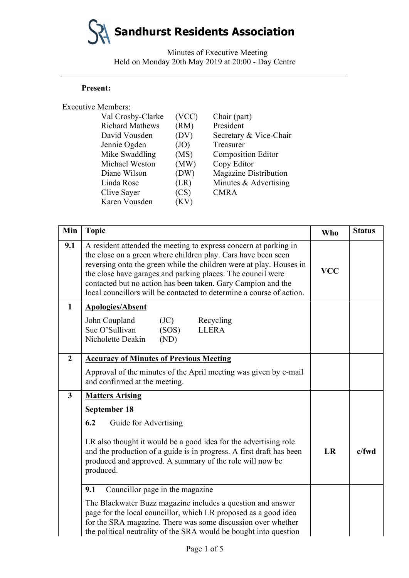Minutes of Executive Meeting Held on Monday 20th May 2019 at 20:00 - Day Centre

#### **Present:**

| <b>Executive Members:</b> |       |                              |
|---------------------------|-------|------------------------------|
| Val Crosby-Clarke         | (VCC) | Chair (part)                 |
| <b>Richard Mathews</b>    | (RM)  | President                    |
| David Vousden             | (DV)  | Secretary & Vice-Chair       |
| Jennie Ogden              | (JO)  | Treasurer                    |
| Mike Swaddling            | (MS)  | <b>Composition Editor</b>    |
| Michael Weston            | (MW)  | Copy Editor                  |
| Diane Wilson              | (DW)  | <b>Magazine Distribution</b> |
| Linda Rose                | (LR)  | Minutes & Advertising        |
| Clive Sayer               | (CS)  | <b>CMRA</b>                  |
| Karen Vousden             | 'K V  |                              |

| Min                     | <b>Topic</b>                                                                                                                                                                                                                                                                                                                                                                                                    | <b>Who</b> | <b>Status</b> |
|-------------------------|-----------------------------------------------------------------------------------------------------------------------------------------------------------------------------------------------------------------------------------------------------------------------------------------------------------------------------------------------------------------------------------------------------------------|------------|---------------|
| 9.1                     | A resident attended the meeting to express concern at parking in<br>the close on a green where children play. Cars have been seen<br>reversing onto the green while the children were at play. Houses in<br>the close have garages and parking places. The council were<br>contacted but no action has been taken. Gary Campion and the<br>local councillors will be contacted to determine a course of action. |            |               |
| $\mathbf{1}$            | <b>Apologies/Absent</b>                                                                                                                                                                                                                                                                                                                                                                                         |            |               |
|                         | John Coupland<br>(JC)<br>Recycling<br>Sue O'Sullivan<br>(SOS)<br><b>LLERA</b><br>Nicholette Deakin<br>(ND)                                                                                                                                                                                                                                                                                                      |            |               |
| $\overline{2}$          | <b>Accuracy of Minutes of Previous Meeting</b>                                                                                                                                                                                                                                                                                                                                                                  |            |               |
|                         | Approval of the minutes of the April meeting was given by e-mail<br>and confirmed at the meeting.                                                                                                                                                                                                                                                                                                               |            |               |
| $\overline{\mathbf{3}}$ | <b>Matters Arising</b>                                                                                                                                                                                                                                                                                                                                                                                          |            |               |
|                         | September 18                                                                                                                                                                                                                                                                                                                                                                                                    |            |               |
|                         | 6.2<br>Guide for Advertising                                                                                                                                                                                                                                                                                                                                                                                    |            |               |
|                         | LR also thought it would be a good idea for the advertising role<br>and the production of a guide is in progress. A first draft has been<br>produced and approved. A summary of the role will now be<br>produced.<br>9.1<br>Councillor page in the magazine                                                                                                                                                     |            | $c$ /fwd      |
|                         |                                                                                                                                                                                                                                                                                                                                                                                                                 |            |               |
|                         | The Blackwater Buzz magazine includes a question and answer<br>page for the local councillor, which LR proposed as a good idea<br>for the SRA magazine. There was some discussion over whether<br>the political neutrality of the SRA would be bought into question                                                                                                                                             |            |               |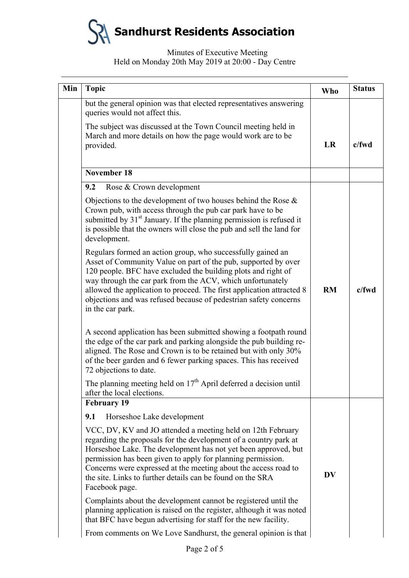# Minutes of Executive Meeting Held on Monday 20th May 2019 at 20:00 - Day Centre

| Min | <b>Topic</b>                                                                                                                                                                                                                                                                                                                                                                                                                  | <b>Who</b> | <b>Status</b> |
|-----|-------------------------------------------------------------------------------------------------------------------------------------------------------------------------------------------------------------------------------------------------------------------------------------------------------------------------------------------------------------------------------------------------------------------------------|------------|---------------|
|     | but the general opinion was that elected representatives answering<br>queries would not affect this.                                                                                                                                                                                                                                                                                                                          |            |               |
|     | The subject was discussed at the Town Council meeting held in<br>March and more details on how the page would work are to be<br>provided.                                                                                                                                                                                                                                                                                     | LR         | $c$ /fwd      |
|     | <b>November 18</b>                                                                                                                                                                                                                                                                                                                                                                                                            |            |               |
|     | 9.2<br>Rose & Crown development                                                                                                                                                                                                                                                                                                                                                                                               |            |               |
|     | Objections to the development of two houses behind the Rose $\&$<br>Crown pub, with access through the pub car park have to be<br>submitted by 31 <sup>st</sup> January. If the planning permission is refused it<br>is possible that the owners will close the pub and sell the land for<br>development.                                                                                                                     |            |               |
|     | Regulars formed an action group, who successfully gained an<br>Asset of Community Value on part of the pub, supported by over<br>120 people. BFC have excluded the building plots and right of<br>way through the car park from the ACV, which unfortunately<br>allowed the application to proceed. The first application attracted 8<br>objections and was refused because of pedestrian safety concerns<br>in the car park. | RM         | $c$ /fwd      |
|     | A second application has been submitted showing a footpath round<br>the edge of the car park and parking alongside the pub building re-<br>aligned. The Rose and Crown is to be retained but with only 30%<br>of the beer garden and 6 fewer parking spaces. This has received<br>72 objections to date.                                                                                                                      |            |               |
|     | The planning meeting held on $17th$ April deferred a decision until<br>after the local elections.                                                                                                                                                                                                                                                                                                                             |            |               |
|     | <b>February 19</b>                                                                                                                                                                                                                                                                                                                                                                                                            |            |               |
|     | 9.1<br>Horseshoe Lake development                                                                                                                                                                                                                                                                                                                                                                                             |            |               |
|     | VCC, DV, KV and JO attended a meeting held on 12th February<br>regarding the proposals for the development of a country park at<br>Horseshoe Lake. The development has not yet been approved, but<br>permission has been given to apply for planning permission.<br>Concerns were expressed at the meeting about the access road to<br>the site. Links to further details can be found on the SRA<br>Facebook page.           | <b>DV</b>  |               |
|     | Complaints about the development cannot be registered until the<br>planning application is raised on the register, although it was noted<br>that BFC have begun advertising for staff for the new facility.                                                                                                                                                                                                                   |            |               |
|     | From comments on We Love Sandhurst, the general opinion is that                                                                                                                                                                                                                                                                                                                                                               |            |               |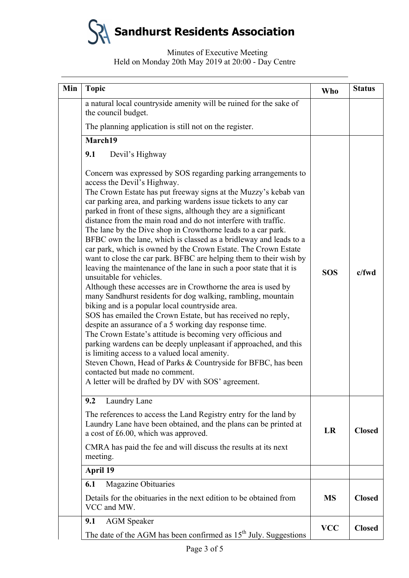# Minutes of Executive Meeting Held on Monday 20th May 2019 at 20:00 - Day Centre

| Min | <b>Topic</b>                                                                                                                                                                                                                                                                                                                                                                                                                                                                                                                                                                                                                                                                                                                                                                                                                                                                                                                                                                                                                                                                                                                                                                                                                                                                                                                                                                                                      | <b>Who</b> | <b>Status</b> |
|-----|-------------------------------------------------------------------------------------------------------------------------------------------------------------------------------------------------------------------------------------------------------------------------------------------------------------------------------------------------------------------------------------------------------------------------------------------------------------------------------------------------------------------------------------------------------------------------------------------------------------------------------------------------------------------------------------------------------------------------------------------------------------------------------------------------------------------------------------------------------------------------------------------------------------------------------------------------------------------------------------------------------------------------------------------------------------------------------------------------------------------------------------------------------------------------------------------------------------------------------------------------------------------------------------------------------------------------------------------------------------------------------------------------------------------|------------|---------------|
|     | a natural local countryside amenity will be ruined for the sake of<br>the council budget.                                                                                                                                                                                                                                                                                                                                                                                                                                                                                                                                                                                                                                                                                                                                                                                                                                                                                                                                                                                                                                                                                                                                                                                                                                                                                                                         |            |               |
|     | The planning application is still not on the register.                                                                                                                                                                                                                                                                                                                                                                                                                                                                                                                                                                                                                                                                                                                                                                                                                                                                                                                                                                                                                                                                                                                                                                                                                                                                                                                                                            |            |               |
|     | March19                                                                                                                                                                                                                                                                                                                                                                                                                                                                                                                                                                                                                                                                                                                                                                                                                                                                                                                                                                                                                                                                                                                                                                                                                                                                                                                                                                                                           |            |               |
|     | 9.1<br>Devil's Highway                                                                                                                                                                                                                                                                                                                                                                                                                                                                                                                                                                                                                                                                                                                                                                                                                                                                                                                                                                                                                                                                                                                                                                                                                                                                                                                                                                                            |            |               |
|     | Concern was expressed by SOS regarding parking arrangements to<br>access the Devil's Highway.<br>The Crown Estate has put freeway signs at the Muzzy's kebab van<br>car parking area, and parking wardens issue tickets to any car<br>parked in front of these signs, although they are a significant<br>distance from the main road and do not interfere with traffic.<br>The lane by the Dive shop in Crowthorne leads to a car park.<br>BFBC own the lane, which is classed as a bridleway and leads to a<br>car park, which is owned by the Crown Estate. The Crown Estate<br>want to close the car park. BFBC are helping them to their wish by<br>leaving the maintenance of the lane in such a poor state that it is<br>unsuitable for vehicles.<br>Although these accesses are in Crowthorne the area is used by<br>many Sandhurst residents for dog walking, rambling, mountain<br>biking and is a popular local countryside area.<br>SOS has emailed the Crown Estate, but has received no reply,<br>despite an assurance of a 5 working day response time.<br>The Crown Estate's attitude is becoming very officious and<br>parking wardens can be deeply unpleasant if approached, and this<br>is limiting access to a valued local amenity.<br>Steven Chown, Head of Parks & Countryside for BFBC, has been<br>contacted but made no comment.<br>A letter will be drafted by DV with SOS' agreement. | <b>SOS</b> | c/fwd         |
|     | Laundry Lane<br>9.2                                                                                                                                                                                                                                                                                                                                                                                                                                                                                                                                                                                                                                                                                                                                                                                                                                                                                                                                                                                                                                                                                                                                                                                                                                                                                                                                                                                               |            |               |
|     | The references to access the Land Registry entry for the land by<br>Laundry Lane have been obtained, and the plans can be printed at<br>a cost of £6.00, which was approved.                                                                                                                                                                                                                                                                                                                                                                                                                                                                                                                                                                                                                                                                                                                                                                                                                                                                                                                                                                                                                                                                                                                                                                                                                                      | <b>LR</b>  | <b>Closed</b> |
|     | CMRA has paid the fee and will discuss the results at its next<br>meeting.                                                                                                                                                                                                                                                                                                                                                                                                                                                                                                                                                                                                                                                                                                                                                                                                                                                                                                                                                                                                                                                                                                                                                                                                                                                                                                                                        |            |               |
|     | April 19                                                                                                                                                                                                                                                                                                                                                                                                                                                                                                                                                                                                                                                                                                                                                                                                                                                                                                                                                                                                                                                                                                                                                                                                                                                                                                                                                                                                          |            |               |
|     | Magazine Obituaries<br>6.1                                                                                                                                                                                                                                                                                                                                                                                                                                                                                                                                                                                                                                                                                                                                                                                                                                                                                                                                                                                                                                                                                                                                                                                                                                                                                                                                                                                        |            |               |
|     | Details for the obituaries in the next edition to be obtained from<br>VCC and MW.                                                                                                                                                                                                                                                                                                                                                                                                                                                                                                                                                                                                                                                                                                                                                                                                                                                                                                                                                                                                                                                                                                                                                                                                                                                                                                                                 | <b>MS</b>  | <b>Closed</b> |
|     | <b>AGM</b> Speaker<br>9.1<br>The date of the AGM has been confirmed as 15 <sup>th</sup> July. Suggestions                                                                                                                                                                                                                                                                                                                                                                                                                                                                                                                                                                                                                                                                                                                                                                                                                                                                                                                                                                                                                                                                                                                                                                                                                                                                                                         | <b>VCC</b> | <b>Closed</b> |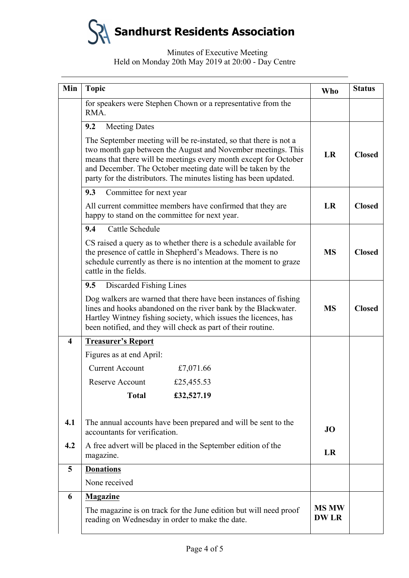# Minutes of Executive Meeting Held on Monday 20th May 2019 at 20:00 - Day Centre

| Min                     | <b>Topic</b>                                                                                                                                                                                                                                                                                                                              | <b>Who</b>                  | <b>Status</b> |
|-------------------------|-------------------------------------------------------------------------------------------------------------------------------------------------------------------------------------------------------------------------------------------------------------------------------------------------------------------------------------------|-----------------------------|---------------|
|                         | for speakers were Stephen Chown or a representative from the<br>RMA.                                                                                                                                                                                                                                                                      |                             |               |
|                         | 9.2<br><b>Meeting Dates</b>                                                                                                                                                                                                                                                                                                               |                             |               |
|                         | The September meeting will be re-instated, so that there is not a<br>two month gap between the August and November meetings. This<br>means that there will be meetings every month except for October<br>and December. The October meeting date will be taken by the<br>party for the distributors. The minutes listing has been updated. |                             | <b>Closed</b> |
|                         | 9.3<br>Committee for next year                                                                                                                                                                                                                                                                                                            |                             |               |
|                         | All current committee members have confirmed that they are<br>happy to stand on the committee for next year.                                                                                                                                                                                                                              |                             | <b>Closed</b> |
|                         | Cattle Schedule<br>9.4                                                                                                                                                                                                                                                                                                                    |                             |               |
|                         | CS raised a query as to whether there is a schedule available for<br>the presence of cattle in Shepherd's Meadows. There is no<br>schedule currently as there is no intention at the moment to graze<br>cattle in the fields.                                                                                                             |                             | <b>Closed</b> |
|                         | Discarded Fishing Lines<br>9.5                                                                                                                                                                                                                                                                                                            |                             |               |
|                         | Dog walkers are warned that there have been instances of fishing<br>lines and hooks abandoned on the river bank by the Blackwater.<br>Hartley Wintney fishing society, which issues the licences, has<br>been notified, and they will check as part of their routine.                                                                     |                             | <b>Closed</b> |
| $\overline{\mathbf{4}}$ | <b>Treasurer's Report</b>                                                                                                                                                                                                                                                                                                                 |                             |               |
|                         | Figures as at end April:                                                                                                                                                                                                                                                                                                                  |                             |               |
|                         | <b>Current Account</b><br>£7,071.66                                                                                                                                                                                                                                                                                                       |                             |               |
|                         | <b>Reserve Account</b><br>£25,455.53                                                                                                                                                                                                                                                                                                      |                             |               |
|                         | <b>Total</b><br>£32,527.19                                                                                                                                                                                                                                                                                                                |                             |               |
| 4.1                     | The annual accounts have been prepared and will be sent to the<br>accountants for verification.                                                                                                                                                                                                                                           |                             |               |
| 4.2                     | A free advert will be placed in the September edition of the<br>magazine.                                                                                                                                                                                                                                                                 |                             |               |
| 5                       | <b>Donations</b>                                                                                                                                                                                                                                                                                                                          |                             |               |
|                         | None received                                                                                                                                                                                                                                                                                                                             |                             |               |
| 6                       | <b>Magazine</b>                                                                                                                                                                                                                                                                                                                           |                             |               |
|                         | The magazine is on track for the June edition but will need proof<br>reading on Wednesday in order to make the date.                                                                                                                                                                                                                      | <b>MS MW</b><br><b>DWLR</b> |               |